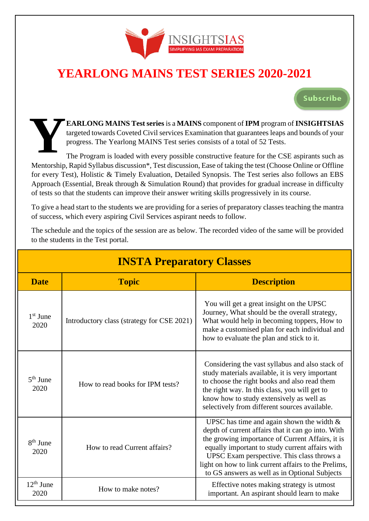

# **YEARLONG MAINS TEST SERIES 2020-2021**

**Subscribe** 

**EARLONG MAINS Test series** is a **MAINS** component of **IPM** program of **INSIGHTSIAS** targeted towards Coveted Civil services Examination that guarantees leaps and bounds of your progress. The Yearlong MAINS Test series consists of a total of 52 Tests.

The Program is loaded with every possible constructive feature for the CSE aspirants such as Mentorship, Rapid Syllabus discussion\*, Test discussion, Ease of taking the test (Choose Online or Offline for every Test), Holistic & Timely Evaluation, Detailed Synopsis. The Test series also follows an EBS Approach (Essential, Break through & Simulation Round) that provides for gradual increase in difficulty of tests so that the students can improve their answer writing skills progressively in its course. **Y**

To give a head start to the students we are providing for a series of preparatory classes teaching the mantra of success, which every aspiring Civil Services aspirant needs to follow.

The schedule and the topics of the session are as below. The recorded video of the same will be provided to the students in the Test portal.

**INSTA Preparatory Classes**

| <b>HVSTATIC paratury Classes</b> |                                            |                                                                                                                                                                                                                                                                                                                                                                  |  |  |  |
|----------------------------------|--------------------------------------------|------------------------------------------------------------------------------------------------------------------------------------------------------------------------------------------------------------------------------------------------------------------------------------------------------------------------------------------------------------------|--|--|--|
| <b>Date</b>                      | <b>Topic</b>                               | <b>Description</b>                                                                                                                                                                                                                                                                                                                                               |  |  |  |
| $1st$ June<br>2020               | Introductory class (strategy for CSE 2021) | You will get a great insight on the UPSC<br>Journey, What should be the overall strategy,<br>What would help in becoming toppers, How to<br>make a customised plan for each individual and<br>how to evaluate the plan and stick to it.                                                                                                                          |  |  |  |
| $5th$ June<br>2020               | How to read books for IPM tests?           | Considering the vast syllabus and also stack of<br>study materials available, it is very important<br>to choose the right books and also read them<br>the right way. In this class, you will get to<br>know how to study extensively as well as<br>selectively from different sources available.                                                                 |  |  |  |
| $8th$ June<br>2020               | How to read Current affairs?               | UPSC has time and again shown the width $\&$<br>depth of current affairs that it can go into. With<br>the growing importance of Current Affairs, it is<br>equally important to study current affairs with<br>UPSC Exam perspective. This class throws a<br>light on how to link current affairs to the Prelims,<br>to GS answers as well as in Optional Subjects |  |  |  |
| $12th$ June<br>2020              | How to make notes?                         | Effective notes making strategy is utmost<br>important. An aspirant should learn to make                                                                                                                                                                                                                                                                         |  |  |  |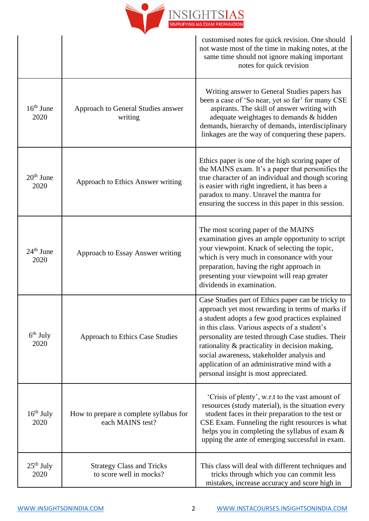

|                     |                                                             | customised notes for quick revision. One should<br>not waste most of the time in making notes, at the<br>same time should not ignore making important<br>notes for quick revision                                                                                                                                                                                                                                                                         |
|---------------------|-------------------------------------------------------------|-----------------------------------------------------------------------------------------------------------------------------------------------------------------------------------------------------------------------------------------------------------------------------------------------------------------------------------------------------------------------------------------------------------------------------------------------------------|
| $16th$ June<br>2020 | Approach to General Studies answer<br>writing               | Writing answer to General Studies papers has<br>been a case of 'So near, yet so far' for many CSE<br>aspirants. The skill of answer writing with<br>adequate weightages to demands & hidden<br>demands, hierarchy of demands, interdisciplinary<br>linkages are the way of conquering these papers.                                                                                                                                                       |
| $20th$ June<br>2020 | Approach to Ethics Answer writing                           | Ethics paper is one of the high scoring paper of<br>the MAINS exam. It's a paper that personifies the<br>true character of an individual and though scoring<br>is easier with right ingredient, it has been a<br>paradox to many. Unravel the mantra for<br>ensuring the success in this paper in this session.                                                                                                                                           |
| $24th$ June<br>2020 | Approach to Essay Answer writing                            | The most scoring paper of the MAINS<br>examination gives an ample opportunity to script<br>your viewpoint. Knack of selecting the topic,<br>which is very much in consonance with your<br>preparation, having the right approach in<br>presenting your viewpoint will reap greater<br>dividends in examination.                                                                                                                                           |
| $6th$ July<br>2020  | <b>Approach to Ethics Case Studies</b>                      | Case Studies part of Ethics paper can be tricky to<br>approach yet most rewarding in terms of marks if<br>a student adopts a few good practices explained<br>in this class. Various aspects of a student's<br>personality are tested through Case studies. Their<br>rationality & practicality in decision making,<br>social awareness, stakeholder analysis and<br>application of an administrative mind with a<br>personal insight is most appreciated. |
| $16th$ July<br>2020 | How to prepare n complete syllabus for<br>each MAINS test?  | 'Crisis of plenty', w.r.t to the vast amount of<br>resources (study material), is the situation every<br>student faces in their preparation to the test or<br>CSE Exam. Funneling the right resources is what<br>helps you in completing the syllabus of exam &<br>upping the ante of emerging successful in exam.                                                                                                                                        |
| $25th$ July<br>2020 | <b>Strategy Class and Tricks</b><br>to score well in mocks? | This class will deal with different techniques and<br>tricks through which you can commit less<br>mistakes, increase accuracy and score high in                                                                                                                                                                                                                                                                                                           |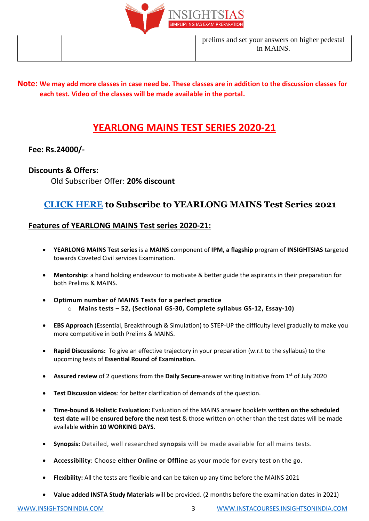

### **Note: We may add more classes in case need be. These classes are in addition to the discussion classes for each test. Video of the classes will be made available in the portal.**

# **YEARLONG MAINS TEST SERIES 2020-21**

## **Fee: Rs.24000/-**

## **Discounts & Offers:**

Old Subscriber Offer: **20% discount**

# **[CLICK HERE](http://www.instacourses.insightsonindia.com/) to Subscribe to YEARLONG MAINS Test Series 2021**

# **Features of YEARLONG MAINS Test series 2020-21:**

- **YEARLONG MAINS Test series** is a **MAINS** component of **IPM, a flagship** program of **INSIGHTSIAS** targeted towards Coveted Civil services Examination.
- **Mentorship**: a hand holding endeavour to motivate & better guide the aspirants in their preparation for both Prelims & MAINS.
- **Optimum number of MAINS Tests for a perfect practice**  o **Mains tests – 52, (Sectional GS-30, Complete syllabus GS-12, Essay-10)**
- **EBS Approach** (Essential, Breakthrough & Simulation) to STEP-UP the difficulty level gradually to make you more competitive in both Prelims & MAINS.
- **Rapid Discussions:** To give an effective trajectory in your preparation (w.r.t to the syllabus) to the upcoming tests of **Essential Round of Examination.**
- **Assured review** of 2 questions from the **Daily Secure**-answer writing Initiative from 1st of July 2020
- **Test Discussion videos**: for better clarification of demands of the question.
- **Time-bound & Holistic Evaluation:** Evaluation of the MAINS answer booklets **written on the scheduled test date** will be **ensured before the next test** & those written on other than the test dates will be made available **within 10 WORKING DAYS**.
- **Synopsis:** Detailed, well researched **synopsis** will be made available for all mains tests.
- **Accessibility**: Choose **either Online or Offline** as your mode for every test on the go.
- **Flexibility:** All the tests are flexible and can be taken up any time before the MAINS 2021
- **Value added INSTA Study Materials** will be provided. (2 months before the examination dates in 2021)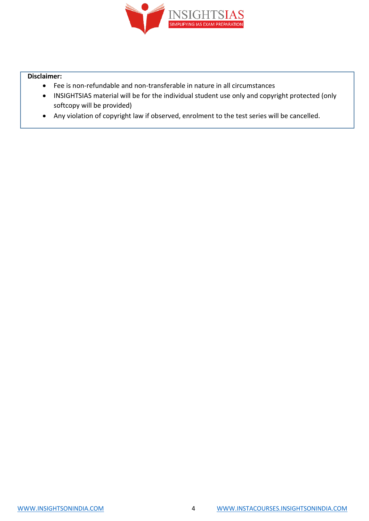

#### **Disclaimer:**

- Fee is non-refundable and non-transferable in nature in all circumstances
- INSIGHTSIAS material will be for the individual student use only and copyright protected (only softcopy will be provided)
- Any violation of copyright law if observed, enrolment to the test series will be cancelled.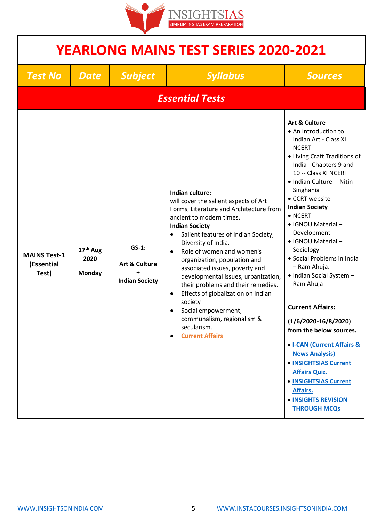

| <b>YEARLONG MAINS TEST SERIES 2020-2021</b> |                                        |                                                               |                                                                                                                                                                                                                                                                                                                                                                                                                                                                                                                                                                            |                                                                                                                                                                                                                                                                                                                                                                                                                                                                                                                                                                                                                                                                                                                              |  |
|---------------------------------------------|----------------------------------------|---------------------------------------------------------------|----------------------------------------------------------------------------------------------------------------------------------------------------------------------------------------------------------------------------------------------------------------------------------------------------------------------------------------------------------------------------------------------------------------------------------------------------------------------------------------------------------------------------------------------------------------------------|------------------------------------------------------------------------------------------------------------------------------------------------------------------------------------------------------------------------------------------------------------------------------------------------------------------------------------------------------------------------------------------------------------------------------------------------------------------------------------------------------------------------------------------------------------------------------------------------------------------------------------------------------------------------------------------------------------------------------|--|
| <b>Test No</b>                              | <b>Date</b>                            | <b>Subject</b>                                                | <b>Syllabus</b>                                                                                                                                                                                                                                                                                                                                                                                                                                                                                                                                                            | <b>Sources</b>                                                                                                                                                                                                                                                                                                                                                                                                                                                                                                                                                                                                                                                                                                               |  |
|                                             |                                        |                                                               | <b>Essential Tests</b>                                                                                                                                                                                                                                                                                                                                                                                                                                                                                                                                                     |                                                                                                                                                                                                                                                                                                                                                                                                                                                                                                                                                                                                                                                                                                                              |  |
| <b>MAINS Test-1</b><br>(Essential<br>Test)  | 17 <sup>th</sup> Aug<br>2020<br>Monday | $GS-1$ :<br><b>Art &amp; Culture</b><br><b>Indian Society</b> | <b>Indian culture:</b><br>will cover the salient aspects of Art<br>Forms, Literature and Architecture from<br>ancient to modern times.<br><b>Indian Society</b><br>Salient features of Indian Society,<br>Diversity of India.<br>Role of women and women's<br>$\bullet$<br>organization, population and<br>associated issues, poverty and<br>developmental issues, urbanization,<br>their problems and their remedies.<br>Effects of globalization on Indian<br>society<br>Social empowerment,<br>communalism, regionalism &<br>secularism.<br><b>Current Affairs</b><br>٠ | <b>Art &amp; Culture</b><br>• An Introduction to<br>Indian Art - Class XI<br><b>NCERT</b><br>• Living Craft Traditions of<br>India - Chapters 9 and<br>10 -- Class XI NCERT<br>• Indian Culture -- Nitin<br>Singhania<br>• CCRT website<br><b>Indian Society</b><br>$\bullet$ NCERT<br>• IGNOU Material -<br>Development<br>• IGNOU Material-<br>Sociology<br>• Social Problems in India<br>- Ram Ahuja.<br>• Indian Social System -<br>Ram Ahuja<br><b>Current Affairs:</b><br>$(1/6/2020-16/8/2020)$<br>from the below sources.<br>• I-CAN (Current Affairs &<br><b>News Analysis)</b><br>• INSIGHTSIAS Current<br><b>Affairs Quiz.</b><br>• INSIGHTSIAS Current<br>Affairs.<br>• INSIGHTS REVISION<br><b>THROUGH MCQS</b> |  |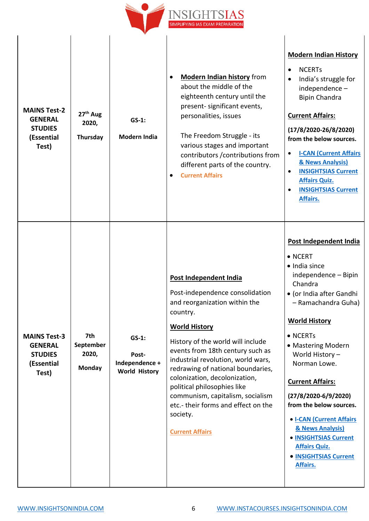

| <b>MAINS Test-2</b><br><b>GENERAL</b><br><b>STUDIES</b><br>(Essential<br>Test) | 27 <sup>th</sup> Aug<br>2020,<br>Thursday  | $GS-1$ :<br><b>Modern India</b>                             | <b>Modern Indian history from</b><br>$\bullet$<br>about the middle of the<br>eighteenth century until the<br>present- significant events,<br>personalities, issues<br>The Freedom Struggle - its<br>various stages and important<br>contributors / contributions from<br>different parts of the country.<br><b>Current Affairs</b><br>$\bullet$                                                                                                                     | <b>Modern Indian History</b><br><b>NCERTS</b><br>$\bullet$<br>India's struggle for<br>$\bullet$<br>independence-<br><b>Bipin Chandra</b><br><b>Current Affairs:</b><br>$(17/8/2020-26/8/2020)$<br>from the below sources.<br><b>I-CAN (Current Affairs</b><br>$\bullet$<br>& News Analysis)<br><b>INSIGHTSIAS Current</b><br>$\bullet$<br><b>Affairs Quiz.</b><br><b>INSIGHTSIAS Current</b><br>$\bullet$<br>Affairs.                                                        |
|--------------------------------------------------------------------------------|--------------------------------------------|-------------------------------------------------------------|---------------------------------------------------------------------------------------------------------------------------------------------------------------------------------------------------------------------------------------------------------------------------------------------------------------------------------------------------------------------------------------------------------------------------------------------------------------------|------------------------------------------------------------------------------------------------------------------------------------------------------------------------------------------------------------------------------------------------------------------------------------------------------------------------------------------------------------------------------------------------------------------------------------------------------------------------------|
| <b>MAINS Test-3</b><br><b>GENERAL</b><br><b>STUDIES</b><br>(Essential<br>Test) | 7th<br>September<br>2020,<br><b>Monday</b> | $GS-1$ :<br>Post-<br>Independence +<br><b>World History</b> | Post Independent India<br>Post-independence consolidation<br>and reorganization within the<br>country.<br><b>World History</b><br>History of the world will include<br>events from 18th century such as<br>industrial revolution, world wars,<br>redrawing of national boundaries,<br>colonization, decolonization,<br>political philosophies like<br>communism, capitalism, socialism<br>etc.- their forms and effect on the<br>society.<br><b>Current Affairs</b> | Post Independent India<br>$\bullet$ NCERT<br>• India since<br>independence - Bipin<br>Chandra<br>• (or India after Gandhi<br>- Ramachandra Guha)<br><b>World History</b><br>$\bullet$ NCERTs<br>• Mastering Modern<br>World History-<br>Norman Lowe.<br><b>Current Affairs:</b><br>$(27/8/2020 - 6/9/2020)$<br>from the below sources.<br>• I-CAN (Current Affairs<br>& News Analysis)<br>• INSIGHTSIAS Current<br><b>Affairs Quiz.</b><br>• INSIGHTSIAS Current<br>Affairs. |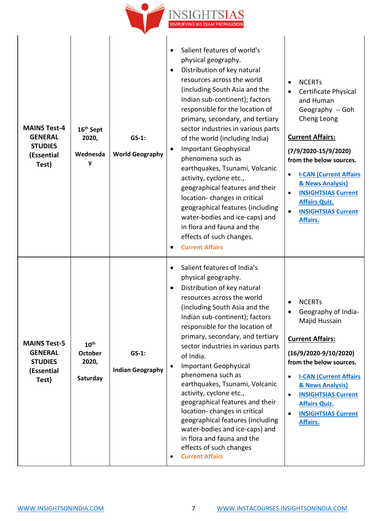

| <b>MAINS Test-4</b><br><b>GENERAL</b><br><b>STUDIES</b><br>(Essential<br>Test) | 16 <sup>th</sup> Sept<br>2020,<br>Wednesda<br>۷         | $GS-1$ :<br><b>World Geography</b>  | Salient features of world's<br>$\bullet$<br>physical geography.<br>Distribution of key natural<br>resources across the world<br>(including South Asia and the<br>Indian sub-continent); factors<br>responsible for the location of<br>primary, secondary, and tertiary<br>sector industries in various parts<br>of the world (including India)<br><b>Important Geophysical</b><br>phenomena such as<br>earthquakes, Tsunami, Volcanic<br>activity, cyclone etc.,<br>geographical features and their<br>location-changes in critical<br>geographical features (including<br>water-bodies and ice-caps) and<br>in flora and fauna and the<br>effects of such changes.<br><b>Current Affairs</b> | <b>NCERTs</b><br>$\bullet$<br>Certificate Physical<br>and Human<br>Geography -- Goh<br>Cheng Leong<br><b>Current Affairs:</b><br>$(7/9/2020-15/9/2020)$<br>from the below sources.<br><b>I-CAN (Current Affairs</b><br>& News Analysis)<br><b>INSIGHTSIAS Current</b><br>$\bullet$<br><b>Affairs Quiz.</b><br><b>INSIGHTSIAS Current</b><br>Affairs. |
|--------------------------------------------------------------------------------|---------------------------------------------------------|-------------------------------------|-----------------------------------------------------------------------------------------------------------------------------------------------------------------------------------------------------------------------------------------------------------------------------------------------------------------------------------------------------------------------------------------------------------------------------------------------------------------------------------------------------------------------------------------------------------------------------------------------------------------------------------------------------------------------------------------------|------------------------------------------------------------------------------------------------------------------------------------------------------------------------------------------------------------------------------------------------------------------------------------------------------------------------------------------------------|
| <b>MAINS Test-5</b><br><b>GENERAL</b><br><b>STUDIES</b><br>(Essential<br>Test) | $10^{\text{th}}$<br><b>October</b><br>2020,<br>Saturday | $GS-1$ :<br><b>Indian Geography</b> | Salient features of India's<br>physical geography.<br>Distribution of key natural<br>resources across the world<br>(including South Asia and the<br>Indian sub-continent); factors<br>responsible for the location of<br>primary, secondary, and tertiary<br>sector industries in various parts<br>of India.<br><b>Important Geophysical</b><br>phenomena such as<br>earthquakes, Tsunami, Volcanic<br>activity, cyclone etc.,<br>geographical features and their<br>location-changes in critical<br>geographical features (including<br>water-bodies and ice-caps) and<br>in flora and fauna and the<br>effects of such changes<br><b>Current Affairs</b>                                    | <b>NCERTs</b><br>Geography of India-<br>Majid Hussain<br><b>Current Affairs:</b><br>$(16/9/2020-9/10/2020)$<br>from the below sources.<br><b>I-CAN (Current Affairs)</b><br>$\bullet$<br>& News Analysis)<br><b>INSIGHTSIAS Current</b><br>$\bullet$<br><b>Affairs Quiz.</b><br><b>INSIGHTSIAS Current</b><br>$\bullet$<br>Affairs.                  |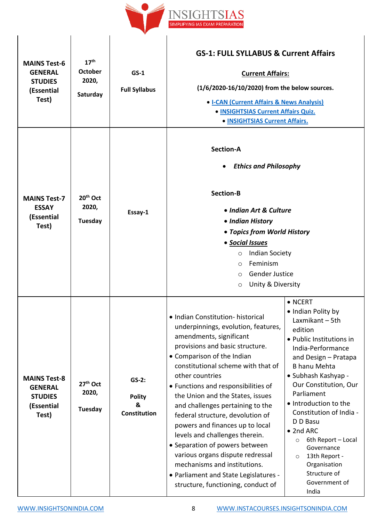

| <b>MAINS Test-6</b><br><b>GENERAL</b><br><b>STUDIES</b><br>(Essential<br>Test) | 17 <sup>th</sup><br><b>October</b><br>2020,<br>Saturday | $GS-1$<br><b>Full Syllabus</b>                       | <b>GS-1: FULL SYLLABUS &amp; Current Affairs</b><br><b>Current Affairs:</b><br>(1/6/2020-16/10/2020) from the below sources.<br>• I-CAN (Current Affairs & News Analysis)<br>• INSIGHTSIAS Current Affairs Quiz.<br>• INSIGHTSIAS Current Affairs.                                                                                                                                                                                                                                                                                                                                                                                         |                                                                                                                                                                                                                                                                                                                                                                                                                                                     |
|--------------------------------------------------------------------------------|---------------------------------------------------------|------------------------------------------------------|--------------------------------------------------------------------------------------------------------------------------------------------------------------------------------------------------------------------------------------------------------------------------------------------------------------------------------------------------------------------------------------------------------------------------------------------------------------------------------------------------------------------------------------------------------------------------------------------------------------------------------------------|-----------------------------------------------------------------------------------------------------------------------------------------------------------------------------------------------------------------------------------------------------------------------------------------------------------------------------------------------------------------------------------------------------------------------------------------------------|
| <b>MAINS Test-7</b><br><b>ESSAY</b><br>(Essential<br>Test)                     | $20th$ Oct<br>2020,<br>Tuesday                          | Essay-1                                              | <b>Section-A</b><br><b>Ethics and Philosophy</b><br><b>Section-B</b><br>• Indian Art & Culture<br>• Indian History<br>• Topics from World History<br>• Social Issues<br><b>Indian Society</b><br>O<br>Feminism<br>$\circ$<br><b>Gender Justice</b><br>$\circ$<br>Unity & Diversity<br>$\circ$                                                                                                                                                                                                                                                                                                                                              |                                                                                                                                                                                                                                                                                                                                                                                                                                                     |
| <b>MAINS Test-8</b><br><b>GENERAL</b><br><b>STUDIES</b><br>(Essential<br>Test) | 27 <sup>th</sup> Oct<br>2020,<br>Tuesday                | $GS-2:$<br><b>Polity</b><br>&<br><b>Constitution</b> | • Indian Constitution- historical<br>underpinnings, evolution, features,<br>amendments, significant<br>provisions and basic structure.<br>• Comparison of the Indian<br>constitutional scheme with that of<br>other countries<br>• Functions and responsibilities of<br>the Union and the States, issues<br>and challenges pertaining to the<br>federal structure, devolution of<br>powers and finances up to local<br>levels and challenges therein.<br>• Separation of powers between<br>various organs dispute redressal<br>mechanisms and institutions.<br>• Parliament and State Legislatures -<br>structure, functioning, conduct of | $\bullet$ NCERT<br>• Indian Polity by<br>Laxmikant – 5th<br>edition<br>· Public Institutions in<br>India-Performance<br>and Design - Pratapa<br><b>B</b> hanu Mehta<br>• Subhash Kashyap -<br>Our Constitution, Our<br>Parliament<br>• Introduction to the<br>Constitution of India -<br>D D Basu<br>• 2nd ARC<br>6th Report - Local<br>$\circ$<br>Governance<br>13th Report -<br>$\circ$<br>Organisation<br>Structure of<br>Government of<br>India |

 $\overline{\phantom{a}}$ 

 $\overline{\phantom{a}}$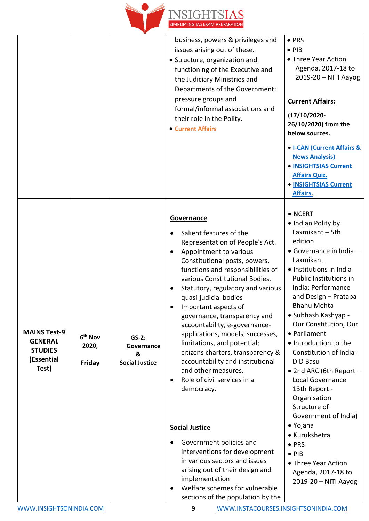

|                                                                                |                                        |                                                     | business, powers & privileges and<br>issues arising out of these.<br>• Structure, organization and<br>functioning of the Executive and<br>the Judiciary Ministries and<br>Departments of the Government;<br>pressure groups and<br>formal/informal associations and<br>their role in the Polity.<br>• Current Affairs                                                                                                                                                                                                                                                                                                                                                                                                                                                                                                                                   | $\bullet$ PRS<br>$\bullet$ PIB<br>• Three Year Action<br>Agenda, 2017-18 to<br>2019-20 - NITI Aayog<br><b>Current Affairs:</b><br>$(17/10/2020 -$<br>26/10/2020) from the<br>below sources.<br>• I-CAN (Current Affairs &<br><b>News Analysis)</b><br>• INSIGHTSIAS Current<br><b>Affairs Quiz.</b><br>• INSIGHTSIAS Current<br>Affairs.                                                                                                                                                                                                                                                                                                     |
|--------------------------------------------------------------------------------|----------------------------------------|-----------------------------------------------------|---------------------------------------------------------------------------------------------------------------------------------------------------------------------------------------------------------------------------------------------------------------------------------------------------------------------------------------------------------------------------------------------------------------------------------------------------------------------------------------------------------------------------------------------------------------------------------------------------------------------------------------------------------------------------------------------------------------------------------------------------------------------------------------------------------------------------------------------------------|----------------------------------------------------------------------------------------------------------------------------------------------------------------------------------------------------------------------------------------------------------------------------------------------------------------------------------------------------------------------------------------------------------------------------------------------------------------------------------------------------------------------------------------------------------------------------------------------------------------------------------------------|
| <b>MAINS Test-9</b><br><b>GENERAL</b><br><b>STUDIES</b><br>(Essential<br>Test) | 6 <sup>th</sup> Nov<br>2020,<br>Friday | $GS-2:$<br>Governance<br>&<br><b>Social Justice</b> | <b>Governance</b><br>Salient features of the<br>Representation of People's Act.<br>Appointment to various<br>Constitutional posts, powers,<br>functions and responsibilities of<br>various Constitutional Bodies.<br>Statutory, regulatory and various<br>quasi-judicial bodies<br>Important aspects of<br>governance, transparency and<br>accountability, e-governance-<br>applications, models, successes,<br>limitations, and potential;<br>citizens charters, transparency &<br>accountability and institutional<br>and other measures.<br>Role of civil services in a<br>$\bullet$<br>democracy.<br><b>Social Justice</b><br>Government policies and<br>interventions for development<br>in various sectors and issues<br>arising out of their design and<br>implementation<br>Welfare schemes for vulnerable<br>sections of the population by the | $\bullet$ NCERT<br>• Indian Polity by<br>Laxmikant - 5th<br>edition<br>$\bullet$ Governance in India $-$<br>Laxmikant<br>• Institutions in India<br>Public Institutions in<br>India: Performance<br>and Design - Pratapa<br><b>Bhanu Mehta</b><br>• Subhash Kashyap -<br>Our Constitution, Our<br>• Parliament<br>• Introduction to the<br>Constitution of India -<br>D D Basu<br>• 2nd ARC (6th Report $-$<br>Local Governance<br>13th Report -<br>Organisation<br>Structure of<br>Government of India)<br>• Yojana<br>• Kurukshetra<br>$\bullet$ PRS<br>$\bullet$ PIB<br>• Three Year Action<br>Agenda, 2017-18 to<br>2019-20 - NITI Aayog |

[WWW.INSIGHTSONINDIA.COM](http://www.insightsonindia.com/) 9 [WWW.INSTACOURSES.INSIGHTSONINDIA.COM](file:///C:/Users/Core/Downloads/Telegram%20Desktop/WWW.INSTACOURSES.INSIGHTSONINDIA.COM)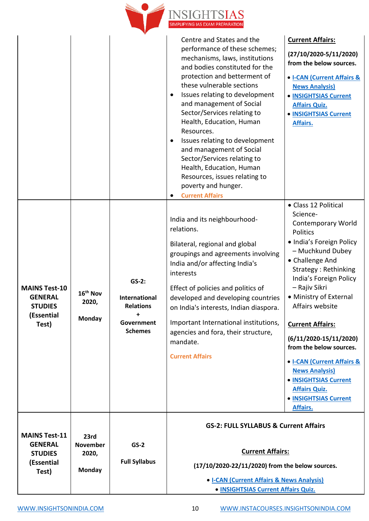

|                                                                                 |                                                   |                                                                                                         | Centre and States and the<br>performance of these schemes;<br>mechanisms, laws, institutions<br>and bodies constituted for the<br>protection and betterment of<br>these vulnerable sections<br>Issues relating to development<br>and management of Social<br>Sector/Services relating to<br>Health, Education, Human<br>Resources.<br>Issues relating to development<br>and management of Social<br>Sector/Services relating to<br>Health, Education, Human<br>Resources, issues relating to<br>poverty and hunger.<br><b>Current Affairs</b> | <b>Current Affairs:</b><br>$(27/10/2020-5/11/2020)$<br>from the below sources.<br>• <b>I-CAN (Current Affairs &amp;</b><br><b>News Analysis)</b><br>• INSIGHTSIAS Current<br><b>Affairs Quiz.</b><br>• INSIGHTSIAS Current<br>Affairs.                                                                                                                                                                                                                                                      |
|---------------------------------------------------------------------------------|---------------------------------------------------|---------------------------------------------------------------------------------------------------------|-----------------------------------------------------------------------------------------------------------------------------------------------------------------------------------------------------------------------------------------------------------------------------------------------------------------------------------------------------------------------------------------------------------------------------------------------------------------------------------------------------------------------------------------------|---------------------------------------------------------------------------------------------------------------------------------------------------------------------------------------------------------------------------------------------------------------------------------------------------------------------------------------------------------------------------------------------------------------------------------------------------------------------------------------------|
| <b>MAINS Test-10</b><br><b>GENERAL</b><br><b>STUDIES</b><br>(Essential<br>Test) | 16 <sup>th</sup> Nov<br>2020,<br>Monday           | $GS-2:$<br><b>International</b><br><b>Relations</b><br>$\ddot{}$<br><b>Government</b><br><b>Schemes</b> | India and its neighbourhood-<br>relations.<br>Bilateral, regional and global<br>groupings and agreements involving<br>India and/or affecting India's<br>interests<br>Effect of policies and politics of<br>developed and developing countries<br>on India's interests, Indian diaspora.<br>Important International institutions,<br>agencies and fora, their structure,<br>mandate.<br><b>Current Affairs</b>                                                                                                                                 | • Class 12 Political<br>Science-<br><b>Contemporary World</b><br>Politics<br>· India's Foreign Policy<br>- Muchkund Dubey<br>• Challenge And<br>Strategy: Rethinking<br>India's Foreign Policy<br>- Rajiv Sikri<br>• Ministry of External<br>Affairs website<br><b>Current Affairs:</b><br>$(6/11/2020-15/11/2020)$<br>from the below sources.<br>• I-CAN (Current Affairs &<br><b>News Analysis)</b><br>• INSIGHTSIAS Current<br><b>Affairs Quiz.</b><br>• INSIGHTSIAS Current<br>Affairs. |
| <b>MAINS Test-11</b><br><b>GENERAL</b><br><b>STUDIES</b><br>(Essential<br>Test) | 23rd<br><b>November</b><br>2020,<br><b>Monday</b> | $GS-2$<br><b>Full Syllabus</b>                                                                          | <b>GS-2: FULL SYLLABUS &amp; Current Affairs</b><br><b>Current Affairs:</b><br>(17/10/2020-22/11/2020) from the below sources.<br>• I-CAN (Current Affairs & News Analysis)<br>• INSIGHTSIAS Current Affairs Quiz.                                                                                                                                                                                                                                                                                                                            |                                                                                                                                                                                                                                                                                                                                                                                                                                                                                             |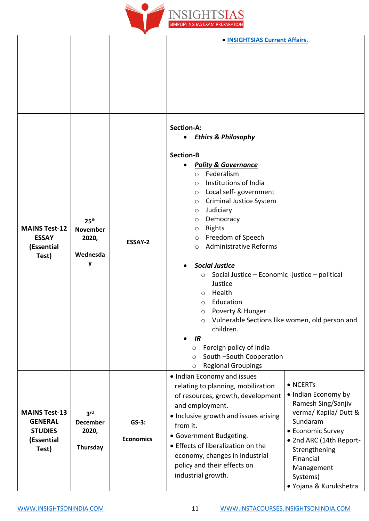

|                                                                                 |                                                               |                             | • INSIGHTSIAS Current Affairs.                                                                                                                                                                                                                                                                                                                                                                                                                                                                                                                                                                                                                                                                                                       |
|---------------------------------------------------------------------------------|---------------------------------------------------------------|-----------------------------|--------------------------------------------------------------------------------------------------------------------------------------------------------------------------------------------------------------------------------------------------------------------------------------------------------------------------------------------------------------------------------------------------------------------------------------------------------------------------------------------------------------------------------------------------------------------------------------------------------------------------------------------------------------------------------------------------------------------------------------|
|                                                                                 |                                                               |                             |                                                                                                                                                                                                                                                                                                                                                                                                                                                                                                                                                                                                                                                                                                                                      |
|                                                                                 |                                                               |                             | <b>Section-A:</b><br><b>Ethics &amp; Philosophy</b><br>$\bullet$                                                                                                                                                                                                                                                                                                                                                                                                                                                                                                                                                                                                                                                                     |
| <b>MAINS Test-12</b><br><b>ESSAY</b><br>(Essential<br>Test)                     | 25 <sup>th</sup><br><b>November</b><br>2020,<br>Wednesda<br>y | <b>ESSAY-2</b>              | <b>Section-B</b><br><b>Polity &amp; Governance</b><br>Federalism<br>$\circ$<br>Institutions of India<br>$\circ$<br>Local self- government<br>$\circ$<br><b>Criminal Justice System</b><br>$\circ$<br>Judiciary<br>O<br>Democracy<br>$\circ$<br>Rights<br>$\circ$<br>Freedom of Speech<br>$\circ$<br><b>Administrative Reforms</b><br>$\circ$<br><b>Social Justice</b><br>Social Justice - Economic -justice - political<br>$\circ$<br>Justice<br>Health<br>$\circ$<br>Education<br>$\circ$<br>Poverty & Hunger<br>$\circ$<br>Vulnerable Sections like women, old person and<br>$\circ$<br>children.<br><u>IR</u><br>Foreign policy of India<br>$\circ$<br>South-South Cooperation<br>$\circ$<br><b>Regional Groupings</b><br>$\circ$ |
| <b>MAINS Test-13</b><br><b>GENERAL</b><br><b>STUDIES</b><br>(Essential<br>Test) | 3 <sup>rd</sup><br><b>December</b><br>2020,<br>Thursday       | $GS-3:$<br><b>Economics</b> | • Indian Economy and issues<br>• NCERTs<br>relating to planning, mobilization<br>• Indian Economy by<br>of resources, growth, development<br>Ramesh Sing/Sanjiv<br>and employment.<br>verma/ Kapila/ Dutt &<br>• Inclusive growth and issues arising<br>Sundaram<br>from it.<br>• Economic Survey<br>• Government Budgeting.<br>• 2nd ARC (14th Report-<br>• Effects of liberalization on the<br>Strengthening<br>economy, changes in industrial<br>Financial<br>policy and their effects on<br>Management<br>industrial growth.<br>Systems)<br>• Yojana & Kurukshetra                                                                                                                                                               |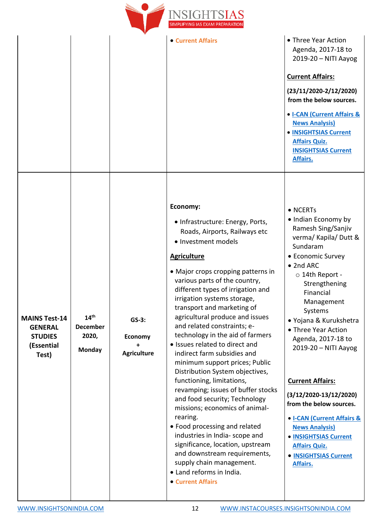

|                                                                                 |                                                               |                                          | • Current Affairs                                                                                                                                                                                                                                                                                                                                                                                                                                                                                                                                                                                                                                                                                                                                                                                                                                                                                                     | • Three Year Action<br>Agenda, 2017-18 to<br>2019-20 - NITI Aayog<br><b>Current Affairs:</b><br>$(23/11/2020-2/12/2020)$<br>from the below sources.<br>• I-CAN (Current Affairs &<br><b>News Analysis)</b><br>• INSIGHTSIAS Current<br><b>Affairs Quiz.</b><br><b>INSIGHTSIAS Current</b><br>Affairs.                                                                                                                                                                                                                                      |
|---------------------------------------------------------------------------------|---------------------------------------------------------------|------------------------------------------|-----------------------------------------------------------------------------------------------------------------------------------------------------------------------------------------------------------------------------------------------------------------------------------------------------------------------------------------------------------------------------------------------------------------------------------------------------------------------------------------------------------------------------------------------------------------------------------------------------------------------------------------------------------------------------------------------------------------------------------------------------------------------------------------------------------------------------------------------------------------------------------------------------------------------|--------------------------------------------------------------------------------------------------------------------------------------------------------------------------------------------------------------------------------------------------------------------------------------------------------------------------------------------------------------------------------------------------------------------------------------------------------------------------------------------------------------------------------------------|
| <b>MAINS Test-14</b><br><b>GENERAL</b><br><b>STUDIES</b><br>(Essential<br>Test) | $14^{\text{th}}$<br><b>December</b><br>2020,<br><b>Monday</b> | $GS-3:$<br>Economy<br><b>Agriculture</b> | Economy:<br>• Infrastructure: Energy, Ports,<br>Roads, Airports, Railways etc<br>• Investment models<br><b>Agriculture</b><br>• Major crops cropping patterns in<br>various parts of the country,<br>different types of irrigation and<br>irrigation systems storage,<br>transport and marketing of<br>agricultural produce and issues<br>and related constraints; e-<br>technology in the aid of farmers<br>• Issues related to direct and<br>indirect farm subsidies and<br>minimum support prices; Public<br>Distribution System objectives,<br>functioning, limitations,<br>revamping; issues of buffer stocks<br>and food security; Technology<br>missions; economics of animal-<br>rearing.<br>• Food processing and related<br>industries in India- scope and<br>significance, location, upstream<br>and downstream requirements,<br>supply chain management.<br>• Land reforms in India.<br>• Current Affairs | • NCERTs<br>• Indian Economy by<br>Ramesh Sing/Sanjiv<br>verma/ Kapila/ Dutt &<br>Sundaram<br>• Economic Survey<br>• 2nd ARC<br>$\circ$ 14th Report -<br>Strengthening<br>Financial<br>Management<br>Systems<br>· Yojana & Kurukshetra<br>• Three Year Action<br>Agenda, 2017-18 to<br>2019-20 - NITI Aayog<br><b>Current Affairs:</b><br>$(3/12/2020-13/12/2020)$<br>from the below sources.<br>• I-CAN (Current Affairs &<br><b>News Analysis)</b><br>• INSIGHTSIAS Current<br><b>Affairs Quiz.</b><br>• INSIGHTSIAS Current<br>Affairs. |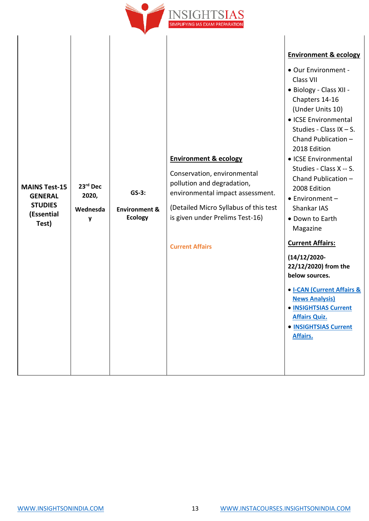

| <b>MAINS Test-15</b><br><b>GENERAL</b><br><b>STUDIES</b><br>(Essential<br>Test) | 23rd Dec<br>2020,<br>Wednesda<br>y | $GS-3:$<br><b>Environment &amp;</b><br><b>Ecology</b> | <b>Environment &amp; ecology</b><br>Conservation, environmental<br>pollution and degradation,<br>environmental impact assessment.<br>(Detailed Micro Syllabus of this test<br>is given under Prelims Test-16)<br><b>Current Affairs</b> | <b>Environment &amp; ecology</b><br>• Our Environment -<br>Class VII<br>• Biology - Class XII -<br>Chapters 14-16<br>(Under Units 10)<br>• ICSE Environmental<br>Studies - Class IX $-$ S.<br>Chand Publication -<br>2018 Edition<br>• ICSE Environmental<br>Studies - Class X -- S.<br>Chand Publication -<br>2008 Edition<br>$\bullet$ Environment -<br>Shankar IAS<br>• Down to Earth<br>Magazine<br><b>Current Affairs:</b><br>$(14/12/2020 -$<br>22/12/2020) from the<br>below sources.<br>• <b>I-CAN (Current Affairs &amp;</b><br><b>News Analysis)</b><br>• INSIGHTSIAS Current<br><b>Affairs Quiz.</b><br>• INSIGHTSIAS Current<br>Affairs. |
|---------------------------------------------------------------------------------|------------------------------------|-------------------------------------------------------|-----------------------------------------------------------------------------------------------------------------------------------------------------------------------------------------------------------------------------------------|------------------------------------------------------------------------------------------------------------------------------------------------------------------------------------------------------------------------------------------------------------------------------------------------------------------------------------------------------------------------------------------------------------------------------------------------------------------------------------------------------------------------------------------------------------------------------------------------------------------------------------------------------|
|---------------------------------------------------------------------------------|------------------------------------|-------------------------------------------------------|-----------------------------------------------------------------------------------------------------------------------------------------------------------------------------------------------------------------------------------------|------------------------------------------------------------------------------------------------------------------------------------------------------------------------------------------------------------------------------------------------------------------------------------------------------------------------------------------------------------------------------------------------------------------------------------------------------------------------------------------------------------------------------------------------------------------------------------------------------------------------------------------------------|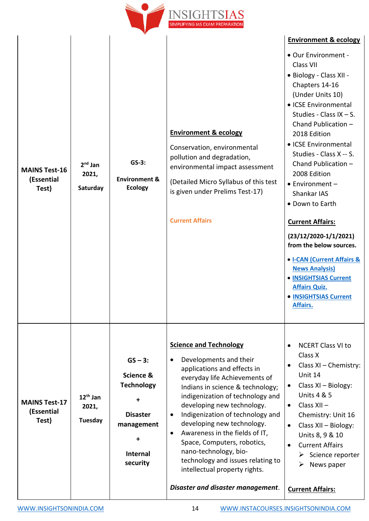

| <b>MAINS Test-16</b><br>(Essential<br>Test) | $2nd$ Jan<br>2021,<br>Saturday | $GS-3:$<br><b>Environment &amp;</b><br><b>Ecology</b>                                                            | <b>Environment &amp; ecology</b><br>Conservation, environmental<br>pollution and degradation,<br>environmental impact assessment<br>(Detailed Micro Syllabus of this test<br>is given under Prelims Test-17)<br><b>Current Affairs</b>                                                                                                                                                                                                                                                                            | <b>Environment &amp; ecology</b><br>• Our Environment -<br>Class VII<br>• Biology - Class XII -<br>Chapters 14-16<br>(Under Units 10)<br>• ICSE Environmental<br>Studies - Class IX $-$ S.<br>Chand Publication -<br>2018 Edition<br>• ICSE Environmental<br>Studies - Class X -- S.<br>Chand Publication -<br>2008 Edition<br>$\bullet$ Environment -<br>Shankar IAS<br>• Down to Earth<br><b>Current Affairs:</b><br>$(23/12/2020-1/1/2021)$<br>from the below sources.<br>• I-CAN (Current Affairs &<br><b>News Analysis)</b><br>• INSIGHTSIAS Current<br><b>Affairs Quiz.</b><br>• INSIGHTSIAS Current<br>Affairs. |
|---------------------------------------------|--------------------------------|------------------------------------------------------------------------------------------------------------------|-------------------------------------------------------------------------------------------------------------------------------------------------------------------------------------------------------------------------------------------------------------------------------------------------------------------------------------------------------------------------------------------------------------------------------------------------------------------------------------------------------------------|------------------------------------------------------------------------------------------------------------------------------------------------------------------------------------------------------------------------------------------------------------------------------------------------------------------------------------------------------------------------------------------------------------------------------------------------------------------------------------------------------------------------------------------------------------------------------------------------------------------------|
| <b>MAINS Test-17</b><br>(Essential<br>Test) | $12th$ Jan<br>2021,<br>Tuesday | $GS - 3:$<br>Science &<br><b>Technology</b><br>÷<br><b>Disaster</b><br>management<br><b>Internal</b><br>security | <b>Science and Technology</b><br>Developments and their<br>applications and effects in<br>everyday life Achievements of<br>Indians in science & technology;<br>indigenization of technology and<br>developing new technology.<br>Indigenization of technology and<br>developing new technology.<br>Awareness in the fields of IT,<br>$\bullet$<br>Space, Computers, robotics,<br>nano-technology, bio-<br>technology and issues relating to<br>intellectual property rights.<br>Disaster and disaster management. | <b>NCERT Class VI to</b><br>Class X<br>Class XI - Chemistry:<br>Unit 14<br>Class XI - Biology:<br>$\bullet$<br><b>Units 4 &amp; 5</b><br>Class XII-<br>$\bullet$<br>Chemistry: Unit 16<br>Class XII - Biology:<br>$\bullet$<br>Units 8, 9 & 10<br><b>Current Affairs</b><br>$\triangleright$ Science reporter<br>News paper<br><b>Current Affairs:</b>                                                                                                                                                                                                                                                                 |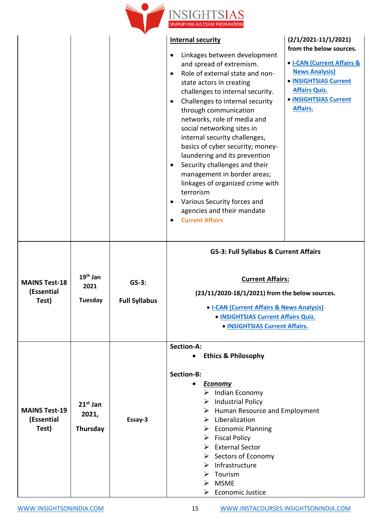

|                                             |                                 | V                               |                                                                                                                                                                                                                                                                                                                                                                                                                                                                                                                                                                                                                                             |                                                                                                                                                                                                |
|---------------------------------------------|---------------------------------|---------------------------------|---------------------------------------------------------------------------------------------------------------------------------------------------------------------------------------------------------------------------------------------------------------------------------------------------------------------------------------------------------------------------------------------------------------------------------------------------------------------------------------------------------------------------------------------------------------------------------------------------------------------------------------------|------------------------------------------------------------------------------------------------------------------------------------------------------------------------------------------------|
|                                             |                                 |                                 | <b>Internal security</b><br>Linkages between development<br>and spread of extremism.<br>Role of external state and non-<br>$\bullet$<br>state actors in creating<br>challenges to internal security.<br>Challenges to internal security<br>through communication<br>networks, role of media and<br>social networking sites in<br>internal security challenges,<br>basics of cyber security; money-<br>laundering and its prevention<br>Security challenges and their<br>management in border areas;<br>linkages of organized crime with<br>terrorism<br>Various Security forces and<br>agencies and their mandate<br><b>Current Affairs</b> | $(2/1/2021-11/1/2021)$<br>from the below sources.<br>• I-CAN (Current Affairs &<br><b>News Analysis)</b><br>• INSIGHTSIAS Current<br><b>Affairs Quiz.</b><br>• INSIGHTSIAS Current<br>Affairs. |
| <b>MAINS Test-18</b><br>(Essential<br>Test) | $19th$ Jan<br>2021<br>Tuesday   | $GS-3:$<br><b>Full Syllabus</b> | <b>GS-3: Full Syllabus &amp; Current Affairs</b><br><b>Current Affairs:</b><br>(23/11/2020-18/1/2021) from the below sources.<br>• I-CAN (Current Affairs & News Analysis)<br>• INSIGHTSIAS Current Affairs Quiz.<br>• INSIGHTSIAS Current Affairs.                                                                                                                                                                                                                                                                                                                                                                                         |                                                                                                                                                                                                |
| <b>MAINS Test-19</b><br>(Essential<br>Test) | $21st$ Jan<br>2021,<br>Thursday | Essay-3                         | <b>Section-A:</b><br><b>Ethics &amp; Philosophy</b><br><b>Section-B:</b><br><b>Economy</b><br>Indian Economy<br>➤<br>$\triangleright$ Industrial Policy<br>$\triangleright$ Human Resource and Employment<br>$\triangleright$ Liberalization<br>$\triangleright$ Economic Planning<br>$\triangleright$ Fiscal Policy<br>$\triangleright$ External Sector<br>$\triangleright$ Sectors of Economy<br>$\triangleright$ Infrastructure<br>Tourism<br>➤<br>$>$ MSME<br><b>Economic Justice</b><br>➤                                                                                                                                              |                                                                                                                                                                                                |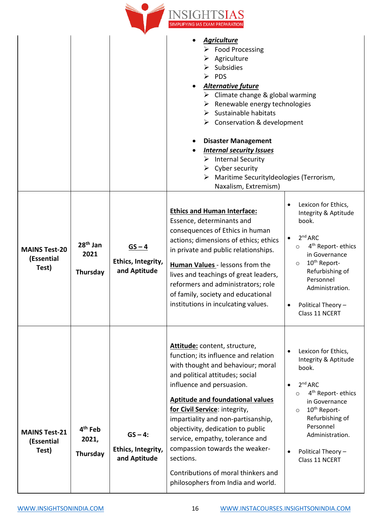

|                                             |                                          |                                                 | <b>Agriculture</b><br>$\triangleright$ Food Processing<br>Agriculture<br>➤<br><b>Subsidies</b><br><b>PDS</b><br>➤<br><b>Alternative future</b><br>$\triangleright$ Climate change & global warming<br>Renewable energy technologies<br>➤<br>Sustainable habitats<br>≻<br>$\triangleright$ Conservation & development<br><b>Disaster Management</b><br><b>Internal security Issues</b><br>$\triangleright$ Internal Security<br>Cyber security<br>➤<br>Maritime SecurityIdeologies (Terrorism,<br>➤<br>Naxalism, Extremism) |                                                                                                                                                                                                                                                                                 |
|---------------------------------------------|------------------------------------------|-------------------------------------------------|----------------------------------------------------------------------------------------------------------------------------------------------------------------------------------------------------------------------------------------------------------------------------------------------------------------------------------------------------------------------------------------------------------------------------------------------------------------------------------------------------------------------------|---------------------------------------------------------------------------------------------------------------------------------------------------------------------------------------------------------------------------------------------------------------------------------|
| <b>MAINS Test-20</b><br>(Essential<br>Test) | 28 <sup>th</sup> Jan<br>2021<br>Thursday | $GS - 4$<br>Ethics, Integrity,<br>and Aptitude  | <b>Ethics and Human Interface:</b><br>Essence, determinants and<br>consequences of Ethics in human<br>actions; dimensions of ethics; ethics<br>in private and public relationships.<br><b>Human Values</b> - lessons from the<br>lives and teachings of great leaders,<br>reformers and administrators; role<br>of family, society and educational<br>institutions in inculcating values.                                                                                                                                  | Lexicon for Ethics,<br>Integrity & Aptitude<br>book.<br>2 <sup>nd</sup> ARC<br>4 <sup>th</sup> Report-ethics<br>$\circ$<br>in Governance<br>10 <sup>th</sup> Report-<br>$\circ$<br>Refurbishing of<br>Personnel<br>Administration.<br>Political Theory -<br>٠<br>Class 11 NCERT |
| <b>MAINS Test-21</b><br>(Essential<br>Test) | 4 <sup>th</sup> Feb<br>2021,<br>Thursday | $GS - 4:$<br>Ethics, Integrity,<br>and Aptitude | Attitude: content, structure,<br>function; its influence and relation<br>with thought and behaviour; moral<br>and political attitudes; social<br>influence and persuasion.<br><b>Aptitude and foundational values</b><br>for Civil Service: integrity,<br>impartiality and non-partisanship,<br>objectivity, dedication to public<br>service, empathy, tolerance and<br>compassion towards the weaker-<br>sections.<br>Contributions of moral thinkers and<br>philosophers from India and world.                           | Lexicon for Ethics,<br>Integrity & Aptitude<br>book.<br>2 <sup>nd</sup> ARC<br>4 <sup>th</sup> Report-ethics<br>$\circ$<br>in Governance<br>10 <sup>th</sup> Report-<br>$\circ$<br>Refurbishing of<br>Personnel<br>Administration.<br>Political Theory -<br>Class 11 NCERT      |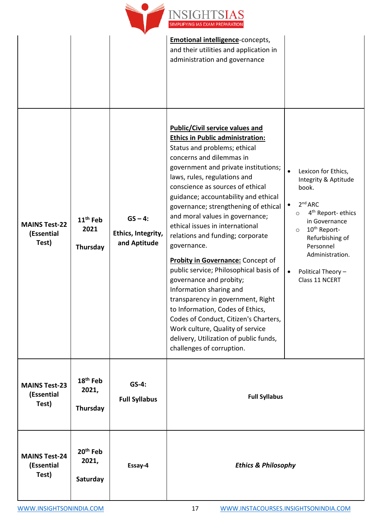

|                                             |                                           |                                                 | <b>Emotional intelligence-concepts,</b><br>and their utilities and application in<br>administration and governance                                                                                                                                                                                                                                                                                                                                                                                                                                                                                                                                                                                                                                                                                                                          |                                                                                                                                                                                                                                                                                          |
|---------------------------------------------|-------------------------------------------|-------------------------------------------------|---------------------------------------------------------------------------------------------------------------------------------------------------------------------------------------------------------------------------------------------------------------------------------------------------------------------------------------------------------------------------------------------------------------------------------------------------------------------------------------------------------------------------------------------------------------------------------------------------------------------------------------------------------------------------------------------------------------------------------------------------------------------------------------------------------------------------------------------|------------------------------------------------------------------------------------------------------------------------------------------------------------------------------------------------------------------------------------------------------------------------------------------|
| <b>MAINS Test-22</b><br>(Essential<br>Test) | 11 <sup>th</sup> Feb<br>2021<br>Thursday  | $GS - 4:$<br>Ethics, Integrity,<br>and Aptitude | <b>Public/Civil service values and</b><br><b>Ethics in Public administration:</b><br>Status and problems; ethical<br>concerns and dilemmas in<br>government and private institutions;<br>laws, rules, regulations and<br>conscience as sources of ethical<br>guidance; accountability and ethical<br>governance; strengthening of ethical<br>and moral values in governance;<br>ethical issues in international<br>relations and funding; corporate<br>governance.<br><b>Probity in Governance:</b> Concept of<br>public service; Philosophical basis of<br>governance and probity;<br>Information sharing and<br>transparency in government, Right<br>to Information, Codes of Ethics,<br>Codes of Conduct, Citizen's Charters,<br>Work culture, Quality of service<br>delivery, Utilization of public funds,<br>challenges of corruption. | Lexicon for Ethics,<br>Integrity & Aptitude<br>book.<br>2 <sup>nd</sup> ARC<br>4 <sup>th</sup> Report- ethics<br>$\circ$<br>in Governance<br>10 <sup>th</sup> Report-<br>$\circ$<br>Refurbishing of<br>Personnel<br>Administration.<br>Political Theory -<br>$\bullet$<br>Class 11 NCERT |
| <b>MAINS Test-23</b><br>(Essential<br>Test) | 18 <sup>th</sup> Feb<br>2021,<br>Thursday | GS-4:<br><b>Full Syllabus</b>                   | <b>Full Syllabus</b>                                                                                                                                                                                                                                                                                                                                                                                                                                                                                                                                                                                                                                                                                                                                                                                                                        |                                                                                                                                                                                                                                                                                          |
| <b>MAINS Test-24</b><br>(Essential<br>Test) | 20 <sup>th</sup> Feb<br>2021,<br>Saturday | Essay-4                                         | <b>Ethics &amp; Philosophy</b>                                                                                                                                                                                                                                                                                                                                                                                                                                                                                                                                                                                                                                                                                                                                                                                                              |                                                                                                                                                                                                                                                                                          |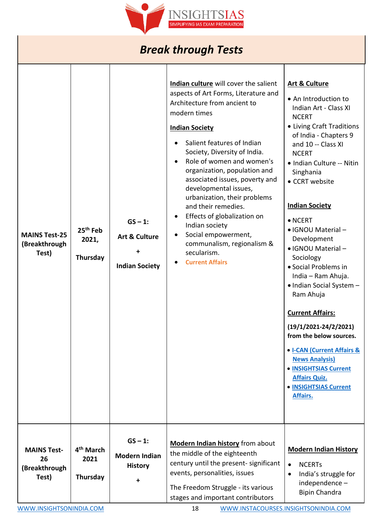

# *Break through Tests*

| <b>MAINS Test-25</b><br>(Breakthrough<br>Test)     | 25 <sup>th</sup> Feb<br>2021,<br>Thursday | $GS - 1$ :<br><b>Art &amp; Culture</b><br><b>Indian Society</b> | Indian culture will cover the salient<br>aspects of Art Forms, Literature and<br>Architecture from ancient to<br>modern times<br><b>Indian Society</b><br>Salient features of Indian<br>Society, Diversity of India.<br>Role of women and women's<br>organization, population and<br>associated issues, poverty and<br>developmental issues,<br>urbanization, their problems<br>and their remedies.<br>Effects of globalization on<br>Indian society<br>Social empowerment,<br>communalism, regionalism &<br>secularism.<br><b>Current Affairs</b> | <b>Art &amp; Culture</b><br>• An Introduction to<br>Indian Art - Class XI<br><b>NCERT</b><br>• Living Craft Traditions<br>of India - Chapters 9<br>and 10 -- Class XI<br><b>NCERT</b><br>• Indian Culture -- Nitin<br>Singhania<br>• CCRT website<br><b>Indian Society</b><br>$\bullet$ NCERT<br>• IGNOU Material -<br>Development<br>• IGNOU Material -<br>Sociology<br>• Social Problems in<br>India - Ram Ahuja.<br>• Indian Social System -<br>Ram Ahuja<br><b>Current Affairs:</b><br>$(19/1/2021 - 24/2/2021)$<br>from the below sources.<br>• <b>I-CAN (Current Affairs &amp;</b><br><b>News Analysis)</b><br>• <b>INSIGHTSIAS Current</b><br><b>Affairs Quiz.</b><br>• INSIGHTSIAS Current<br>Affairs. |
|----------------------------------------------------|-------------------------------------------|-----------------------------------------------------------------|----------------------------------------------------------------------------------------------------------------------------------------------------------------------------------------------------------------------------------------------------------------------------------------------------------------------------------------------------------------------------------------------------------------------------------------------------------------------------------------------------------------------------------------------------|----------------------------------------------------------------------------------------------------------------------------------------------------------------------------------------------------------------------------------------------------------------------------------------------------------------------------------------------------------------------------------------------------------------------------------------------------------------------------------------------------------------------------------------------------------------------------------------------------------------------------------------------------------------------------------------------------------------|
|                                                    |                                           |                                                                 |                                                                                                                                                                                                                                                                                                                                                                                                                                                                                                                                                    |                                                                                                                                                                                                                                                                                                                                                                                                                                                                                                                                                                                                                                                                                                                |
| <b>MAINS Test-</b><br>26<br>(Breakthrough<br>Test) | 4 <sup>th</sup> March<br>2021<br>Thursday | $GS - 1$ :<br><b>Modern Indian</b><br><b>History</b>            | <b>Modern Indian history</b> from about<br>the middle of the eighteenth<br>century until the present- significant<br>events, personalities, issues<br>The Freedom Struggle - its various<br>stages and important contributors                                                                                                                                                                                                                                                                                                                      | <b>Modern Indian History</b><br><b>NCERTs</b><br>$\bullet$<br>India's struggle for<br>$\bullet$<br>independence-<br><b>Bipin Chandra</b>                                                                                                                                                                                                                                                                                                                                                                                                                                                                                                                                                                       |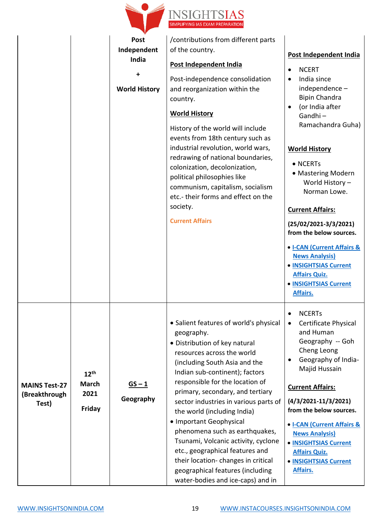

|                                                |                                                    | <b>Post</b>               | /contributions from different parts                                                                                                                                                                                                                                                                                                                                                                                                                                                                                                                                                         |                                                                                                                                                                                                                                                                                                                                                                                                                                                                                                  |
|------------------------------------------------|----------------------------------------------------|---------------------------|---------------------------------------------------------------------------------------------------------------------------------------------------------------------------------------------------------------------------------------------------------------------------------------------------------------------------------------------------------------------------------------------------------------------------------------------------------------------------------------------------------------------------------------------------------------------------------------------|--------------------------------------------------------------------------------------------------------------------------------------------------------------------------------------------------------------------------------------------------------------------------------------------------------------------------------------------------------------------------------------------------------------------------------------------------------------------------------------------------|
|                                                |                                                    | Independent<br>India      | of the country.                                                                                                                                                                                                                                                                                                                                                                                                                                                                                                                                                                             | Post Independent India                                                                                                                                                                                                                                                                                                                                                                                                                                                                           |
|                                                |                                                    | +<br><b>World History</b> | Post Independent India<br>Post-independence consolidation<br>and reorganization within the<br>country.<br><b>World History</b><br>History of the world will include<br>events from 18th century such as<br>industrial revolution, world wars,<br>redrawing of national boundaries,<br>colonization, decolonization,<br>political philosophies like<br>communism, capitalism, socialism<br>etc.- their forms and effect on the<br>society.<br><b>Current Affairs</b>                                                                                                                         | <b>NCERT</b><br>$\bullet$<br>India since<br>$\bullet$<br>independence-<br><b>Bipin Chandra</b><br>(or India after<br>$\bullet$<br>Gandhi-<br>Ramachandra Guha)<br><b>World History</b><br>• NCERTs<br>• Mastering Modern<br>World History -<br>Norman Lowe.<br><b>Current Affairs:</b><br>$(25/02/2021-3/3/2021)$<br>from the below sources.<br>• I-CAN (Current Affairs &<br><b>News Analysis)</b><br>• INSIGHTSIAS Current<br><b>Affairs Quiz.</b><br>• <b>INSIGHTSIAS Current</b><br>Affairs. |
| <b>MAINS Test-27</b><br>(Breakthrough<br>Test) | 12 <sup>th</sup><br><b>March</b><br>2021<br>Friday | $GS - 1$<br>Geography     | • Salient features of world's physical<br>geography.<br>• Distribution of key natural<br>resources across the world<br>(including South Asia and the<br>Indian sub-continent); factors<br>responsible for the location of<br>primary, secondary, and tertiary<br>sector industries in various parts of<br>the world (including India)<br>• Important Geophysical<br>phenomena such as earthquakes,<br>Tsunami, Volcanic activity, cyclone<br>etc., geographical features and<br>their location-changes in critical<br>geographical features (including<br>water-bodies and ice-caps) and in | <b>NCERTS</b><br>$\bullet$<br><b>Certificate Physical</b><br>$\bullet$<br>and Human<br>Geography -- Goh<br>Cheng Leong<br>Geography of India-<br>$\bullet$<br>Majid Hussain<br><b>Current Affairs:</b><br>$(4/3/2021-11/3/2021)$<br>from the below sources.<br>• I-CAN (Current Affairs &<br><b>News Analysis)</b><br>• INSIGHTSIAS Current<br><b>Affairs Quiz.</b><br>• INSIGHTSIAS Current<br>Affairs.                                                                                         |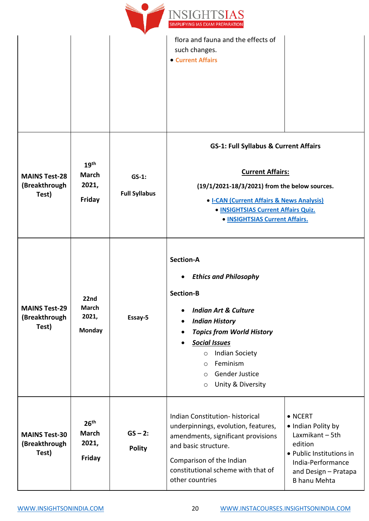

|                                                |                                                     |                                  | flora and fauna and the effects of<br>such changes.<br>• Current Affairs                                                                                                                                                                                                                                                                                                                        |
|------------------------------------------------|-----------------------------------------------------|----------------------------------|-------------------------------------------------------------------------------------------------------------------------------------------------------------------------------------------------------------------------------------------------------------------------------------------------------------------------------------------------------------------------------------------------|
| <b>MAINS Test-28</b><br>(Breakthrough<br>Test) | 19 <sup>th</sup><br><b>March</b><br>2021,<br>Friday | $GS-1$ :<br><b>Full Syllabus</b> | <b>GS-1: Full Syllabus &amp; Current Affairs</b><br><b>Current Affairs:</b><br>(19/1/2021-18/3/2021) from the below sources.<br>• I-CAN (Current Affairs & News Analysis)<br>• INSIGHTSIAS Current Affairs Quiz.<br>• INSIGHTSIAS Current Affairs.                                                                                                                                              |
| <b>MAINS Test-29</b><br>(Breakthrough<br>Test) | 22nd<br><b>March</b><br>2021,<br><b>Monday</b>      | Essay-5                          | <b>Section-A</b><br><b>Ethics and Philosophy</b><br><b>Section-B</b><br><b>Indian Art &amp; Culture</b><br>$\bullet$<br><b>Indian History</b><br>$\bullet$<br><b>Topics from World History</b><br>$\bullet$<br><b>Social Issues</b><br>$\bullet$<br><b>Indian Society</b><br>$\circ$<br>Feminism<br>$\circ$<br>Gender Justice<br>$\circ$<br>Unity & Diversity<br>$\circ$                        |
| <b>MAINS Test-30</b><br>(Breakthrough<br>Test) | 26 <sup>th</sup><br><b>March</b><br>2021,<br>Friday | $GS - 2:$<br><b>Polity</b>       | Indian Constitution-historical<br>$\bullet$ NCERT<br>underpinnings, evolution, features,<br>• Indian Polity by<br>Laxmikant - 5th<br>amendments, significant provisions<br>edition<br>and basic structure.<br>• Public Institutions in<br>Comparison of the Indian<br>India-Performance<br>constitutional scheme with that of<br>and Design - Pratapa<br>other countries<br><b>B</b> hanu Mehta |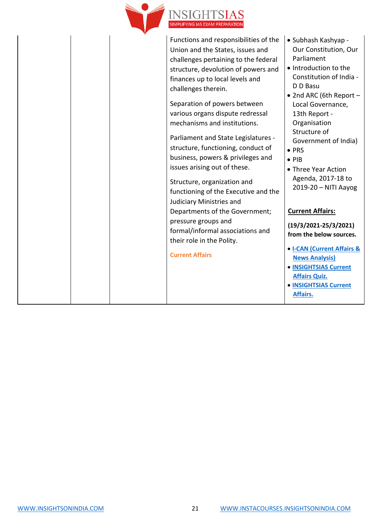

Functions and responsibilities of the Union and the States, issues and challenges pertaining to the federal structure, devolution of powers and finances up to local levels and challenges therein.

Separation of powers between various organs dispute redressal mechanisms and institutions.

Parliament and State Legislatures structure, functioning, conduct of business, powers & privileges and issues arising out of these.

Structure, organization and functioning of the Executive and the Judiciary Ministries and Departments of the Government; pressure groups and formal/informal associations and their role in the Polity.

#### **Current Affairs**

- Subhash Kashyap Our Constitution, Our Parliament
- Introduction to the Constitution of India - D D Basu
- 2nd ARC (6th Report Local Governance, 13th Report - Organisation Structure of Government of India)
- PRS
- PIB
- Three Year Action Agenda, 2017-18 to 2019-20 – NITI Aayog

### **Current Affairs:**

**(19/3/2021-25/3/2021) from the below sources.**

- **[I-CAN \(Current Affairs &](https://www.insightsonindia.com/i-can-instadaily-video-current-affairs-and-editorials-analysis/)  [News Analysis\)](https://www.insightsonindia.com/i-can-instadaily-video-current-affairs-and-editorials-analysis/)**
- **[INSIGHTSIAS Current](https://www.insightsonindia.com/insights-current-affairs-questions/)  [Affairs Quiz.](https://www.insightsonindia.com/insights-current-affairs-questions/)**
- **[INSIGHTSIAS Current](https://www.insightsonindia.com/insights-ias-current-affairs/)  [Affairs.](https://www.insightsonindia.com/insights-ias-current-affairs/)**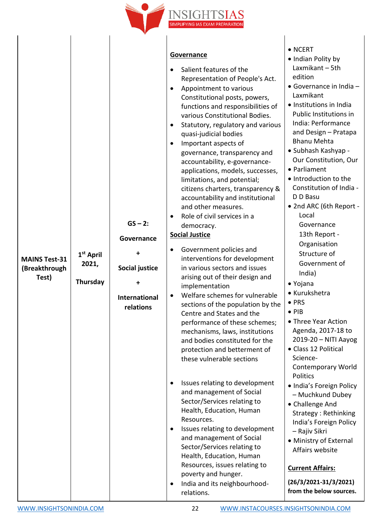

| <b>MAINS Test-31</b><br>(Breakthrough<br>Test) | 1 <sup>st</sup> April<br>2021,<br>Thursday | $GS - 2:$<br>Governance<br>+<br>Social justice<br>+<br><b>International</b><br>relations | Governance<br>Salient features of the<br>Representation of People's Act.<br>Appointment to various<br>Constitutional posts, powers,<br>functions and responsibilities of<br>various Constitutional Bodies.<br>Statutory, regulatory and various<br>quasi-judicial bodies<br>Important aspects of<br>$\bullet$<br>governance, transparency and<br>accountability, e-governance-<br>applications, models, successes,<br>limitations, and potential;<br>citizens charters, transparency &<br>accountability and institutional<br>and other measures.<br>Role of civil services in a<br>democracy.<br><b>Social Justice</b><br>Government policies and<br>$\bullet$<br>interventions for development<br>in various sectors and issues<br>arising out of their design and<br>implementation<br>Welfare schemes for vulnerable<br>sections of the population by the<br>Centre and States and the<br>performance of these schemes;<br>mechanisms, laws, institutions<br>and bodies constituted for the<br>protection and betterment of<br>these vulnerable sections<br>Issues relating to development<br>and management of Social<br>Sector/Services relating to<br>Health, Education, Human<br>Resources.<br>Issues relating to development<br>$\bullet$<br>and management of Social<br>Sector/Services relating to<br>Health, Education, Human<br>Resources, issues relating to<br>poverty and hunger.<br>India and its neighbourhood-<br>$\bullet$<br>relations. | $\bullet$ NCERT<br>• Indian Polity by<br>Laxmikant - 5th<br>edition<br>• Governance in India -<br>Laxmikant<br>• Institutions in India<br>Public Institutions in<br>India: Performance<br>and Design - Pratapa<br><b>Bhanu Mehta</b><br>• Subhash Kashyap -<br>Our Constitution, Our<br>• Parliament<br>• Introduction to the<br>Constitution of India -<br>D D Basu<br>• 2nd ARC (6th Report -<br>Local<br>Governance<br>13th Report -<br>Organisation<br>Structure of<br>Government of<br>India)<br>• Yojana<br>• Kurukshetra<br>$\bullet$ PRS<br>$\bullet$ PIB<br>• Three Year Action<br>Agenda, 2017-18 to<br>2019-20 - NITI Aayog<br>• Class 12 Political<br>Science-<br><b>Contemporary World</b><br>Politics<br>· India's Foreign Policy<br>- Muchkund Dubey<br>• Challenge And<br>Strategy: Rethinking<br>India's Foreign Policy<br>- Rajiv Sikri<br>• Ministry of External<br>Affairs website<br><b>Current Affairs:</b><br>$(26/3/2021-31/3/2021)$<br>from the below sources. |
|------------------------------------------------|--------------------------------------------|------------------------------------------------------------------------------------------|--------------------------------------------------------------------------------------------------------------------------------------------------------------------------------------------------------------------------------------------------------------------------------------------------------------------------------------------------------------------------------------------------------------------------------------------------------------------------------------------------------------------------------------------------------------------------------------------------------------------------------------------------------------------------------------------------------------------------------------------------------------------------------------------------------------------------------------------------------------------------------------------------------------------------------------------------------------------------------------------------------------------------------------------------------------------------------------------------------------------------------------------------------------------------------------------------------------------------------------------------------------------------------------------------------------------------------------------------------------------------------------------------------------------------------------------------------------|-----------------------------------------------------------------------------------------------------------------------------------------------------------------------------------------------------------------------------------------------------------------------------------------------------------------------------------------------------------------------------------------------------------------------------------------------------------------------------------------------------------------------------------------------------------------------------------------------------------------------------------------------------------------------------------------------------------------------------------------------------------------------------------------------------------------------------------------------------------------------------------------------------------------------------------------------------------------------------------------|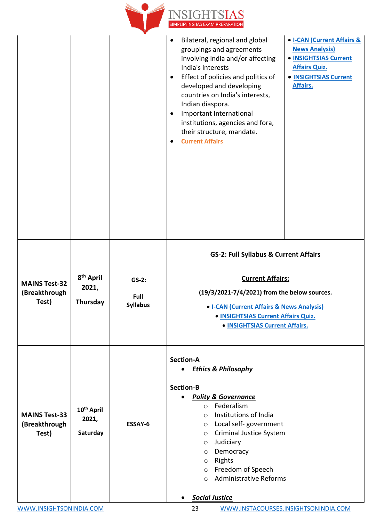|                                                                                |                                    | NSIGHTSIAS<br>SIMPLIFYING IAS EXAM PREPARATION                                                                                                                                                                                                                                                                                                                                                            |                                                                                                                                                      |
|--------------------------------------------------------------------------------|------------------------------------|-----------------------------------------------------------------------------------------------------------------------------------------------------------------------------------------------------------------------------------------------------------------------------------------------------------------------------------------------------------------------------------------------------------|------------------------------------------------------------------------------------------------------------------------------------------------------|
|                                                                                |                                    | Bilateral, regional and global<br>groupings and agreements<br>involving India and/or affecting<br>India's interests<br>Effect of policies and politics of<br>$\bullet$<br>developed and developing<br>countries on India's interests,<br>Indian diaspora.<br>Important International<br>$\bullet$<br>institutions, agencies and fora,<br>their structure, mandate.<br><b>Current Affairs</b><br>$\bullet$ | • <b>I-CAN (Current Affairs &amp;</b><br><b>News Analysis)</b><br>• INSIGHTSIAS Current<br><b>Affairs Quiz.</b><br>• INSIGHTSIAS Current<br>Affairs. |
| 8 <sup>th</sup> April<br>2021,<br>Thursday                                     | $GS-2:$<br>Full<br><b>Syllabus</b> | <b>GS-2: Full Syllabus &amp; Current Affairs</b><br><b>Current Affairs:</b><br>(19/3/2021-7/4/2021) from the below sources.<br>• I-CAN (Current Affairs & News Analysis)<br>• INSIGHTSIAS Current Affairs Quiz.<br>• INSIGHTSIAS Current Affairs.                                                                                                                                                         |                                                                                                                                                      |
| 10 <sup>th</sup> April<br>2021,<br>Saturday                                    | ESSAY-6                            | <b>Section-A</b><br><b>Ethics &amp; Philosophy</b><br>$\bullet$<br><b>Section-B</b><br><b>Polity &amp; Governance</b><br>Federalism<br>$\circ$<br>Institutions of India<br>$\circ$<br>Local self-government<br>$\circ$<br>Criminal Justice System<br>$\circ$<br>Judiciary<br>$\circ$<br>Democracy<br>O<br>Rights<br>$\circ$<br>Freedom of Speech<br>$\circ$<br><b>Administrative Reforms</b><br>$\circ$   |                                                                                                                                                      |
| <b>MAINS Test-32</b><br>(Breakthrough<br><b>MAINS Test-33</b><br>(Breakthrough |                                    |                                                                                                                                                                                                                                                                                                                                                                                                           | <b>Social Justice</b>                                                                                                                                |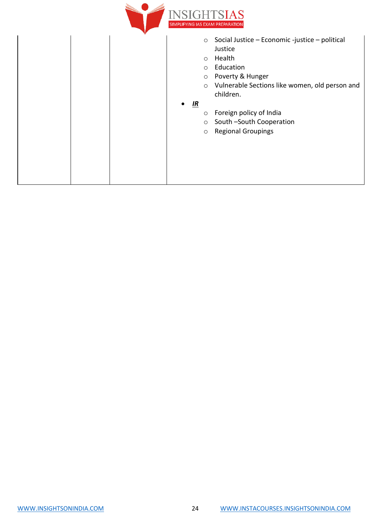

|  |           | $\circ$<br>$\circ$<br>$\circ$<br>$\circ$<br>$\circ$ | Social Justice - Economic -justice - political<br>Justice<br>Health<br>Education<br>Poverty & Hunger<br>Vulnerable Sections like women, old person and<br>children. |
|--|-----------|-----------------------------------------------------|---------------------------------------------------------------------------------------------------------------------------------------------------------------------|
|  | $\bullet$ | $\underline{\mathbf{IR}}$                           |                                                                                                                                                                     |
|  |           | $\circ$                                             | Foreign policy of India                                                                                                                                             |
|  |           | $\circ$                                             | South -South Cooperation                                                                                                                                            |
|  |           | $\circ$                                             | <b>Regional Groupings</b>                                                                                                                                           |
|  |           |                                                     |                                                                                                                                                                     |
|  |           |                                                     |                                                                                                                                                                     |
|  |           |                                                     |                                                                                                                                                                     |
|  |           |                                                     |                                                                                                                                                                     |
|  |           |                                                     |                                                                                                                                                                     |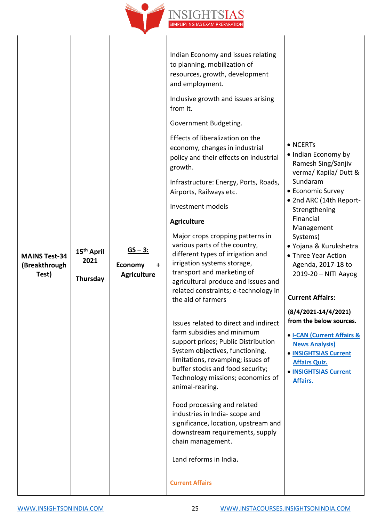

| <b>MAINS Test-34</b><br>(Breakthrough<br>Test) | 15 <sup>th</sup> April<br>2021<br>Thursday | $GS - 3:$<br><b>Economy</b><br>$\ddot{}$<br><b>Agriculture</b> | Indian Economy and issues relating<br>to planning, mobilization of<br>resources, growth, development<br>and employment.<br>Inclusive growth and issues arising<br>from it.<br>Government Budgeting.<br>Effects of liberalization on the<br>economy, changes in industrial<br>policy and their effects on industrial<br>growth.<br>Infrastructure: Energy, Ports, Roads,<br>Airports, Railways etc.<br>Investment models<br><b>Agriculture</b><br>Major crops cropping patterns in<br>various parts of the country,<br>different types of irrigation and<br>irrigation systems storage,<br>transport and marketing of<br>agricultural produce and issues and<br>related constraints; e-technology in<br>the aid of farmers | • NCERTs<br>• Indian Economy by<br>Ramesh Sing/Sanjiv<br>verma/ Kapila/ Dutt &<br>Sundaram<br>• Economic Survey<br>• 2nd ARC (14th Report-<br>Strengthening<br>Financial<br>Management<br>Systems)<br>• Yojana & Kurukshetra<br>• Three Year Action<br>Agenda, 2017-18 to<br>2019-20 - NITI Aayog<br><b>Current Affairs:</b> |
|------------------------------------------------|--------------------------------------------|----------------------------------------------------------------|---------------------------------------------------------------------------------------------------------------------------------------------------------------------------------------------------------------------------------------------------------------------------------------------------------------------------------------------------------------------------------------------------------------------------------------------------------------------------------------------------------------------------------------------------------------------------------------------------------------------------------------------------------------------------------------------------------------------------|------------------------------------------------------------------------------------------------------------------------------------------------------------------------------------------------------------------------------------------------------------------------------------------------------------------------------|
|                                                |                                            |                                                                | Issues related to direct and indirect<br>farm subsidies and minimum<br>support prices; Public Distribution<br>System objectives, functioning,<br>limitations, revamping; issues of<br>buffer stocks and food security;<br>Technology missions; economics of<br>animal-rearing.<br>Food processing and related<br>industries in India- scope and<br>significance, location, upstream and<br>downstream requirements, supply<br>chain management.<br>Land reforms in India.<br><b>Current Affairs</b>                                                                                                                                                                                                                       | $(8/4/2021 - 14/4/2021)$<br>from the below sources.<br>• I-CAN (Current Affairs &<br><b>News Analysis)</b><br>• INSIGHTSIAS Current<br><b>Affairs Quiz.</b><br>• INSIGHTSIAS Current<br>Affairs.                                                                                                                             |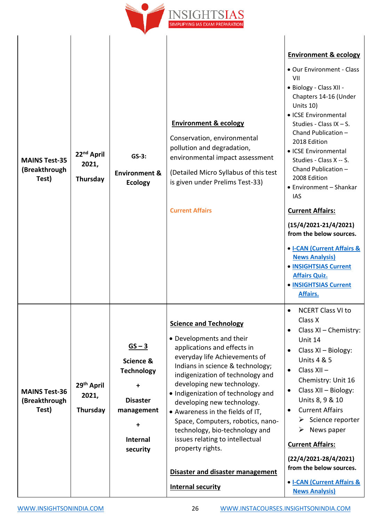

| <b>MAINS Test-35</b><br>(Breakthrough<br>Test) | 22 <sup>nd</sup> April<br>2021,<br>Thursday | $GS-3:$<br><b>Environment &amp;</b><br><b>Ecology</b>                                                                        | <b>Environment &amp; ecology</b><br>Conservation, environmental<br>pollution and degradation,<br>environmental impact assessment<br>(Detailed Micro Syllabus of this test<br>is given under Prelims Test-33)<br><b>Current Affairs</b>                                                                                                                                                                                                                                                                                                | <b>Environment &amp; ecology</b><br>• Our Environment - Class<br>VII<br>• Biology - Class XII -<br>Chapters 14-16 (Under<br>Units 10)<br>• ICSE Environmental<br>Studies - Class IX $-$ S.<br>Chand Publication -<br>2018 Edition<br>• ICSE Environmental<br>Studies - Class X -- S.<br>Chand Publication -<br>2008 Edition<br>• Environment - Shankar<br>IAS<br><b>Current Affairs:</b><br>$(15/4/2021-21/4/2021)$<br>from the below sources.<br>• <b>I-CAN (Current Affairs &amp;</b><br><b>News Analysis)</b><br>• INSIGHTSIAS Current<br><b>Affairs Quiz.</b><br>• INSIGHTSIAS Current<br>Affairs. |
|------------------------------------------------|---------------------------------------------|------------------------------------------------------------------------------------------------------------------------------|---------------------------------------------------------------------------------------------------------------------------------------------------------------------------------------------------------------------------------------------------------------------------------------------------------------------------------------------------------------------------------------------------------------------------------------------------------------------------------------------------------------------------------------|--------------------------------------------------------------------------------------------------------------------------------------------------------------------------------------------------------------------------------------------------------------------------------------------------------------------------------------------------------------------------------------------------------------------------------------------------------------------------------------------------------------------------------------------------------------------------------------------------------|
| <b>MAINS Test-36</b><br>(Breakthrough<br>Test) | 29th April<br>2021,<br>Thursday             | $GS - 3$<br>Science &<br><b>Technology</b><br>$\ddot{}$<br><b>Disaster</b><br>management<br>+<br><b>Internal</b><br>security | <b>Science and Technology</b><br>• Developments and their<br>applications and effects in<br>everyday life Achievements of<br>Indians in science & technology;<br>indigenization of technology and<br>developing new technology.<br>· Indigenization of technology and<br>developing new technology.<br>• Awareness in the fields of IT,<br>Space, Computers, robotics, nano-<br>technology, bio-technology and<br>issues relating to intellectual<br>property rights.<br>Disaster and disaster management<br><b>Internal security</b> | <b>NCERT Class VI to</b><br>Class X<br>Class XI - Chemistry:<br>Unit 14<br>Class XI - Biology:<br><b>Units 4 &amp; 5</b><br>Class XII-<br>Chemistry: Unit 16<br>Class XII - Biology:<br>Units 8, 9 & 10<br><b>Current Affairs</b><br>$\triangleright$ Science reporter<br>News paper<br>➤<br><b>Current Affairs:</b><br>$(22/4/2021 - 28/4/2021)$<br>from the below sources.<br>• I-CAN (Current Affairs &<br><b>News Analysis)</b>                                                                                                                                                                    |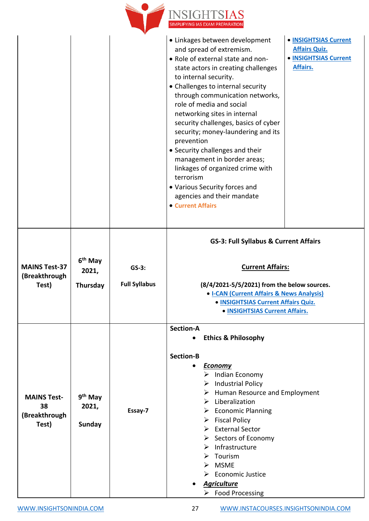

|                                                    |                                          |                                 | • Linkages between development<br>• INSIGHTSIAS Current<br><b>Affairs Quiz.</b><br>and spread of extremism.<br>. Role of external state and non-<br>• INSIGHTSIAS Current<br>Affairs.<br>state actors in creating challenges<br>to internal security.<br>• Challenges to internal security<br>through communication networks,<br>role of media and social<br>networking sites in internal<br>security challenges, basics of cyber<br>security; money-laundering and its<br>prevention<br>• Security challenges and their<br>management in border areas;<br>linkages of organized crime with<br>terrorism<br>• Various Security forces and<br>agencies and their mandate<br>• Current Affairs |
|----------------------------------------------------|------------------------------------------|---------------------------------|----------------------------------------------------------------------------------------------------------------------------------------------------------------------------------------------------------------------------------------------------------------------------------------------------------------------------------------------------------------------------------------------------------------------------------------------------------------------------------------------------------------------------------------------------------------------------------------------------------------------------------------------------------------------------------------------|
| <b>MAINS Test-37</b><br>(Breakthrough<br>Test)     | 6 <sup>th</sup> May<br>2021,<br>Thursday | $GS-3:$<br><b>Full Syllabus</b> | <b>GS-3: Full Syllabus &amp; Current Affairs</b><br><b>Current Affairs:</b><br>(8/4/2021-5/5/2021) from the below sources.<br>• I-CAN (Current Affairs & News Analysis)<br>• INSIGHTSIAS Current Affairs Quiz.<br>· <b>INSIGHTSIAS Current Affairs.</b>                                                                                                                                                                                                                                                                                                                                                                                                                                      |
| <b>MAINS Test-</b><br>38<br>(Breakthrough<br>Test) | 9 <sup>th</sup> May<br>2021,<br>Sunday   | Essay-7                         | <b>Section-A</b><br><b>Ethics &amp; Philosophy</b><br><b>Section-B</b><br><b>Economy</b><br>$\triangleright$ Indian Economy<br><b>Industrial Policy</b><br>➤<br>$\triangleright$ Human Resource and Employment<br>$\triangleright$ Liberalization<br>$\triangleright$ Economic Planning<br>$\triangleright$ Fiscal Policy<br>$\triangleright$ External Sector<br>$\triangleright$ Sectors of Economy<br>Infrastructure<br>➤<br>Tourism<br>$\triangleright$ MSME<br><b>Economic Justice</b><br><b>Agriculture</b><br>$\triangleright$ Food Processing                                                                                                                                         |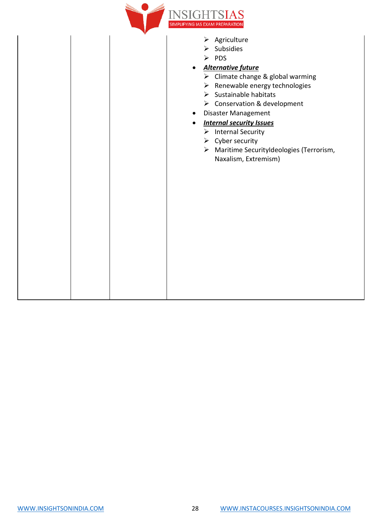

- ➢ Agriculture
- ➢ Subsidies
- ➢ PDS
- *Alternative future*
	- ➢ Climate change & global warming
	- ➢ Renewable energy technologies
	- ➢ Sustainable habitats
	- ➢ Conservation & development
- Disaster Management

#### • *Internal security Issues*

- ➢ Internal Security
- $\triangleright$  Cyber security
- ➢ Maritime SecurityIdeologies (Terrorism, Naxalism, Extremism)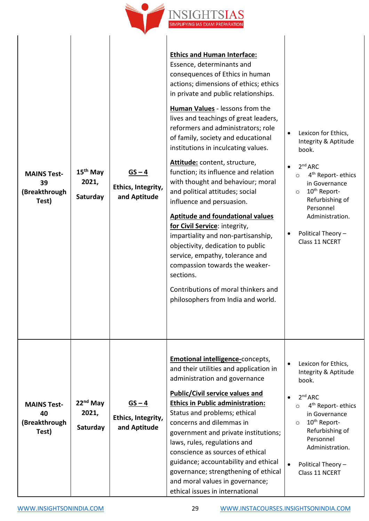

| <b>MAINS Test-</b><br>39<br>(Breakthrough<br>Test) | 15 <sup>th</sup> May<br>2021,<br>Saturday | $GS - 4$<br>Ethics, Integrity,<br>and Aptitude | <b>Ethics and Human Interface:</b><br>Essence, determinants and<br>consequences of Ethics in human<br>actions; dimensions of ethics; ethics<br>in private and public relationships.<br><b>Human Values</b> - lessons from the<br>lives and teachings of great leaders,<br>reformers and administrators; role<br>of family, society and educational<br>institutions in inculcating values.<br>Attitude: content, structure,<br>function; its influence and relation<br>with thought and behaviour; moral<br>and political attitudes; social<br>influence and persuasion.<br><b>Aptitude and foundational values</b><br>for Civil Service: integrity,<br>impartiality and non-partisanship,<br>objectivity, dedication to public<br>service, empathy, tolerance and<br>compassion towards the weaker-<br>sections.<br>Contributions of moral thinkers and<br>philosophers from India and world. | Lexicon for Ethics,<br>$\bullet$<br>Integrity & Aptitude<br>book.<br>2 <sup>nd</sup> ARC<br>4 <sup>th</sup> Report- ethics<br>$\circ$<br>in Governance<br>10 <sup>th</sup> Report-<br>$\circ$<br>Refurbishing of<br>Personnel<br>Administration.<br>Political Theory -<br>Class 11 NCERT |
|----------------------------------------------------|-------------------------------------------|------------------------------------------------|-----------------------------------------------------------------------------------------------------------------------------------------------------------------------------------------------------------------------------------------------------------------------------------------------------------------------------------------------------------------------------------------------------------------------------------------------------------------------------------------------------------------------------------------------------------------------------------------------------------------------------------------------------------------------------------------------------------------------------------------------------------------------------------------------------------------------------------------------------------------------------------------------|------------------------------------------------------------------------------------------------------------------------------------------------------------------------------------------------------------------------------------------------------------------------------------------|
| <b>MAINS Test-</b><br>40<br>(Breakthrough<br>Test) | $22nd$ May<br>2021,<br>Saturday           | $GS - 4$<br>Ethics, Integrity,<br>and Aptitude | <b>Emotional intelligence-concepts,</b><br>and their utilities and application in<br>administration and governance<br><b>Public/Civil service values and</b><br><b>Ethics in Public administration:</b><br>Status and problems; ethical<br>concerns and dilemmas in<br>government and private institutions;<br>laws, rules, regulations and<br>conscience as sources of ethical<br>guidance; accountability and ethical<br>governance; strengthening of ethical<br>and moral values in governance;<br>ethical issues in international                                                                                                                                                                                                                                                                                                                                                         | Lexicon for Ethics,<br>Integrity & Aptitude<br>book.<br>2 <sup>nd</sup> ARC<br>4 <sup>th</sup> Report- ethics<br>$\circ$<br>in Governance<br>10 <sup>th</sup> Report-<br>$\circ$<br>Refurbishing of<br>Personnel<br>Administration.<br>Political Theory -<br>Class 11 NCERT              |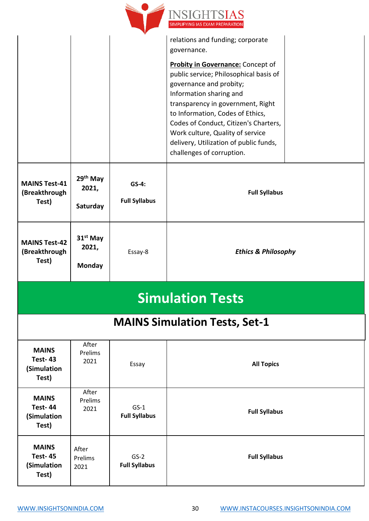

|                               |                               |                                | relations and funding; corporate         |  |
|-------------------------------|-------------------------------|--------------------------------|------------------------------------------|--|
|                               |                               |                                | governance.                              |  |
|                               |                               |                                | <b>Probity in Governance:</b> Concept of |  |
|                               |                               |                                | public service; Philosophical basis of   |  |
|                               |                               |                                | governance and probity;                  |  |
|                               |                               |                                | Information sharing and                  |  |
|                               |                               |                                | transparency in government, Right        |  |
|                               |                               |                                | to Information, Codes of Ethics,         |  |
|                               |                               |                                | Codes of Conduct, Citizen's Charters,    |  |
|                               |                               |                                | Work culture, Quality of service         |  |
|                               |                               |                                | delivery, Utilization of public funds,   |  |
|                               |                               |                                | challenges of corruption.                |  |
| <b>MAINS Test-41</b>          | 29 <sup>th</sup> May          | $GS-4:$                        |                                          |  |
| (Breakthrough                 | 2021,                         | <b>Full Syllabus</b>           | <b>Full Syllabus</b>                     |  |
| Test)                         | Saturday                      |                                |                                          |  |
|                               |                               |                                |                                          |  |
|                               |                               |                                |                                          |  |
| <b>MAINS Test-42</b>          | 31 <sup>st</sup> May<br>2021, |                                |                                          |  |
| (Breakthrough                 |                               | Essay-8                        | <b>Ethics &amp; Philosophy</b>           |  |
|                               |                               |                                |                                          |  |
| Test)                         | <b>Monday</b>                 |                                |                                          |  |
|                               |                               |                                |                                          |  |
|                               |                               |                                | <b>Simulation Tests</b>                  |  |
|                               |                               |                                | <b>MAINS Simulation Tests, Set-1</b>     |  |
|                               | After                         |                                |                                          |  |
| <b>MAINS</b>                  | Prelims                       |                                |                                          |  |
| <b>Test-43</b><br>(Simulation | 2021                          | Essay                          | <b>All Topics</b>                        |  |
| Test)                         |                               |                                |                                          |  |
|                               | After                         |                                |                                          |  |
| <b>MAINS</b>                  | Prelims                       |                                |                                          |  |
| <b>Test-44</b>                | 2021                          | $GS-1$<br><b>Full Syllabus</b> | <b>Full Syllabus</b>                     |  |
| (Simulation<br>Test)          |                               |                                |                                          |  |
|                               |                               |                                |                                          |  |
| <b>MAINS</b>                  | After                         |                                |                                          |  |
| <b>Test-45</b><br>(Simulation | Prelims                       | $GS-2$<br><b>Full Syllabus</b> | <b>Full Syllabus</b>                     |  |
| Test)                         | 2021                          |                                |                                          |  |